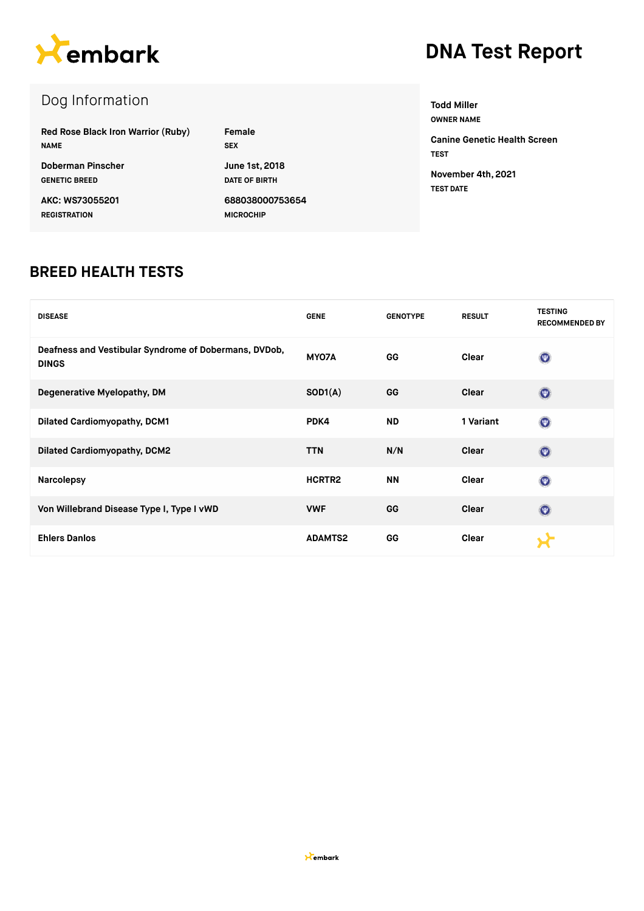

## **DNA Test Report**

### Dog Information

| <b>Red Rose Black Iron Warrior (Ruby)</b> | Female                |
|-------------------------------------------|-----------------------|
| <b>NAME</b>                               | <b>SEX</b>            |
| Doberman Pinscher                         | <b>June 1st, 2018</b> |
| <b>GENETIC BREED</b>                      | DATE OF BIRTH         |
| AKC: WS73055201                           | 688038000753654       |
| <b>REGISTRATION</b>                       | <b>MICROCHIP</b>      |

**Todd Miller OWNER NAME**

**Canine Genetic Health Screen TEST November 4th, 2021 TEST DATE**

#### **BREED HEALTH TESTS**

| <b>DISEASE</b>                                                        | <b>GENE</b>    | <b>GENOTYPE</b> | <b>RESULT</b> | <b>TESTING</b><br><b>RECOMMENDED BY</b> |
|-----------------------------------------------------------------------|----------------|-----------------|---------------|-----------------------------------------|
| Deafness and Vestibular Syndrome of Dobermans, DVDob,<br><b>DINGS</b> | MY07A          | GG              | Clear         | $\odot$                                 |
| Degenerative Myelopathy, DM                                           | SOD1(A)        | GG              | Clear         | $\bullet$                               |
| <b>Dilated Cardiomyopathy, DCM1</b>                                   | PDK4           | <b>ND</b>       | 1 Variant     | $\bullet$                               |
| <b>Dilated Cardiomyopathy, DCM2</b>                                   | <b>TTN</b>     | N/N             | Clear         | $\bullet$                               |
| Narcolepsy                                                            | HCRTR2         | <b>NN</b>       | Clear         | $\bullet$                               |
| Von Willebrand Disease Type I, Type I vWD                             | <b>VWF</b>     | GG              | Clear         | $\odot$                                 |
| <b>Ehlers Danlos</b>                                                  | <b>ADAMTS2</b> | GG              | Clear         |                                         |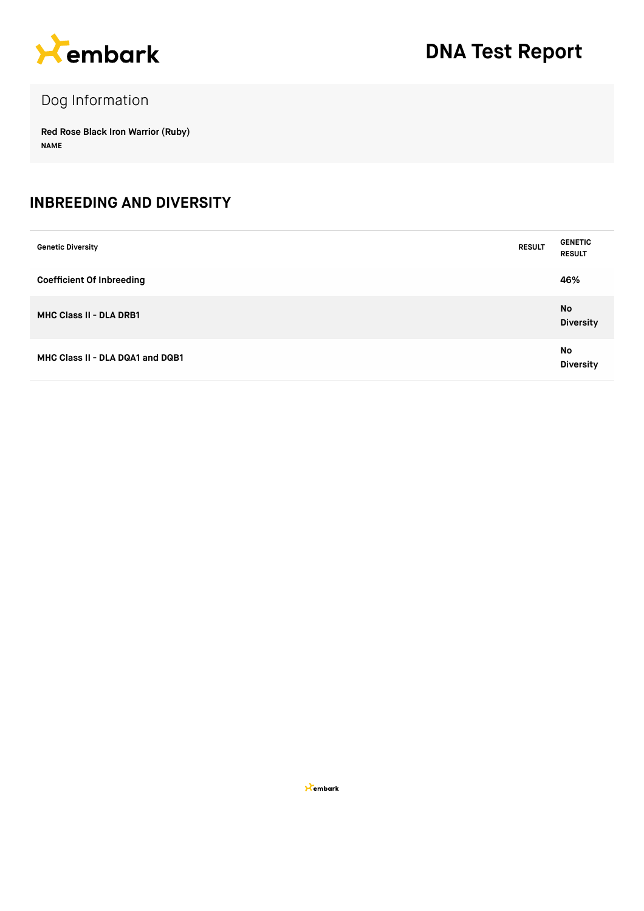

### Dog Information

**Red Rose Black Iron Warrior (Ruby) NAME**

#### **INBREEDING AND DIVERSITY**

| <b>Genetic Diversity</b>         | <b>RESULT</b> | <b>GENETIC</b><br><b>RESULT</b> |
|----------------------------------|---------------|---------------------------------|
| <b>Coefficient Of Inbreeding</b> |               | 46%                             |
| <b>MHC Class II - DLA DRB1</b>   |               | <b>No</b><br><b>Diversity</b>   |
| MHC Class II - DLA DQA1 and DQB1 |               | No<br><b>Diversity</b>          |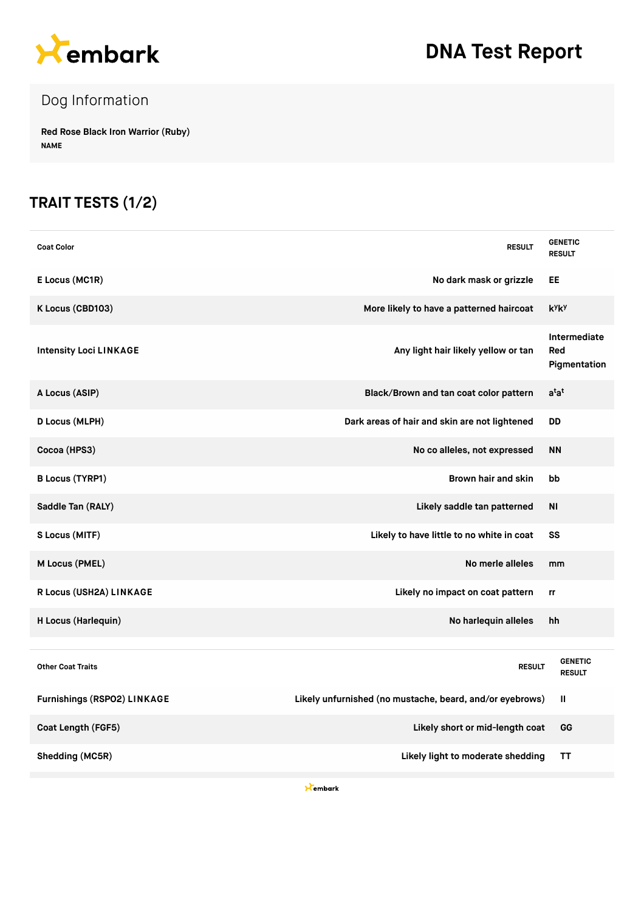

# **DNA Test Report**

### Dog Information

**Red Rose Black Iron Warrior (Ruby) NAME**

### **TRAIT TESTS (1/2)**

| <b>Coat Color</b>                  | <b>RESULT</b>                                            | <b>GENETIC</b><br><b>RESULT</b>     |
|------------------------------------|----------------------------------------------------------|-------------------------------------|
| E Locus (MC1R)                     | No dark mask or grizzle                                  | EE                                  |
| K Locus (CBD103)                   | More likely to have a patterned haircoat                 | k <sup>y</sup> k <sup>y</sup>       |
| <b>Intensity Loci LINKAGE</b>      | Any light hair likely yellow or tan                      | Intermediate<br>Red<br>Pigmentation |
| A Locus (ASIP)                     | Black/Brown and tan coat color pattern                   | $a^{t}a^{t}$                        |
| D Locus (MLPH)                     | Dark areas of hair and skin are not lightened            | DD                                  |
| Cocoa (HPS3)                       | No co alleles, not expressed                             | <b>NN</b>                           |
| <b>B Locus (TYRP1)</b>             | Brown hair and skin                                      | bb                                  |
| Saddle Tan (RALY)                  | Likely saddle tan patterned                              | <b>NI</b>                           |
| S Locus (MITF)                     | Likely to have little to no white in coat                | SS                                  |
| M Locus (PMEL)                     | No merle alleles                                         | mm                                  |
| R Locus (USH2A) LINKAGE            | Likely no impact on coat pattern                         | rr                                  |
| H Locus (Harlequin)                | No harlequin alleles                                     | hh                                  |
|                                    |                                                          |                                     |
| <b>Other Coat Traits</b>           | <b>RESULT</b>                                            | <b>GENETIC</b><br><b>RESULT</b>     |
| <b>Furnishings (RSPO2) LINKAGE</b> | Likely unfurnished (no mustache, beard, and/or eyebrows) | Ш                                   |
| Coat Length (FGF5)                 | Likely short or mid-length coat                          | GG                                  |
| Shedding (MC5R)                    | Likely light to moderate shedding                        | ТT                                  |